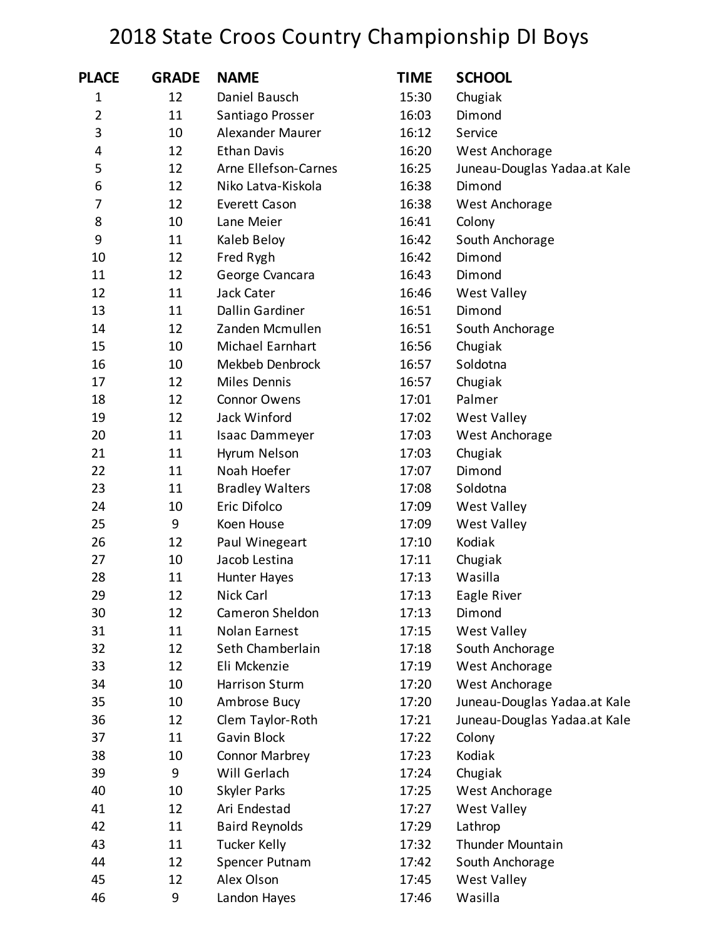## 2018 State Croos Country Championship DI Boys

| <b>PLACE</b>   | <b>GRADE</b> | <b>NAME</b>            | <b>TIME</b> | <b>SCHOOL</b>                |
|----------------|--------------|------------------------|-------------|------------------------------|
| $\mathbf 1$    | 12           | Daniel Bausch          | 15:30       | Chugiak                      |
| $\overline{2}$ | 11           | Santiago Prosser       | 16:03       | Dimond                       |
| 3              | 10           | Alexander Maurer       | 16:12       | Service                      |
| 4              | 12           | <b>Ethan Davis</b>     | 16:20       | West Anchorage               |
| 5              | 12           | Arne Ellefson-Carnes   | 16:25       | Juneau-Douglas Yadaa.at Kale |
| 6              | 12           | Niko Latva-Kiskola     | 16:38       | Dimond                       |
| 7              | 12           | <b>Everett Cason</b>   | 16:38       | West Anchorage               |
| 8              | 10           | Lane Meier             | 16:41       | Colony                       |
| 9              | 11           | Kaleb Beloy            | 16:42       | South Anchorage              |
| 10             | 12           | Fred Rygh              | 16:42       | Dimond                       |
| 11             | 12           | George Cvancara        | 16:43       | Dimond                       |
| 12             | 11           | Jack Cater             | 16:46       | <b>West Valley</b>           |
| 13             | 11           | Dallin Gardiner        | 16:51       | Dimond                       |
| 14             | 12           | Zanden Mcmullen        | 16:51       | South Anchorage              |
| 15             | 10           | Michael Earnhart       | 16:56       | Chugiak                      |
| 16             | 10           | Mekbeb Denbrock        | 16:57       | Soldotna                     |
| 17             | 12           | Miles Dennis           | 16:57       | Chugiak                      |
| 18             | 12           | <b>Connor Owens</b>    | 17:01       | Palmer                       |
| 19             | 12           | Jack Winford           | 17:02       | <b>West Valley</b>           |
| 20             | 11           | Isaac Dammeyer         | 17:03       | West Anchorage               |
| 21             | 11           | Hyrum Nelson           | 17:03       | Chugiak                      |
| 22             | 11           | Noah Hoefer            | 17:07       | Dimond                       |
| 23             | 11           | <b>Bradley Walters</b> | 17:08       | Soldotna                     |
| 24             | 10           | Eric Difolco           | 17:09       | <b>West Valley</b>           |
| 25             | 9            | Koen House             | 17:09       | <b>West Valley</b>           |
| 26             | 12           | Paul Winegeart         | 17:10       | Kodiak                       |
| 27             | 10           | Jacob Lestina          | 17:11       | Chugiak                      |
| 28             | 11           | Hunter Hayes           | 17:13       | Wasilla                      |
| 29             | 12           | Nick Carl              | 17:13       | Eagle River                  |
| 30             | 12           | Cameron Sheldon        | 17:13       | Dimond                       |
| 31             | 11           | Nolan Earnest          | 17:15       | <b>West Valley</b>           |
| 32             | 12           | Seth Chamberlain       | 17:18       | South Anchorage              |
| 33             | 12           | Eli Mckenzie           | 17:19       | West Anchorage               |
| 34             | 10           | <b>Harrison Sturm</b>  | 17:20       | West Anchorage               |
| 35             | 10           | Ambrose Bucy           | 17:20       | Juneau-Douglas Yadaa.at Kale |
| 36             | 12           | Clem Taylor-Roth       | 17:21       | Juneau-Douglas Yadaa.at Kale |
| 37             | 11           | Gavin Block            | 17:22       | Colony                       |
| 38             | 10           | Connor Marbrey         | 17:23       | Kodiak                       |
| 39             | 9            | Will Gerlach           | 17:24       | Chugiak                      |
| 40             | 10           | Skyler Parks           | 17:25       | West Anchorage               |
| 41             | 12           | Ari Endestad           | 17:27       | <b>West Valley</b>           |
| 42             | 11           | <b>Baird Reynolds</b>  | 17:29       | Lathrop                      |
| 43             | 11           | <b>Tucker Kelly</b>    | 17:32       | <b>Thunder Mountain</b>      |
| 44             | 12           | Spencer Putnam         | 17:42       | South Anchorage              |
| 45             | 12           | Alex Olson             | 17:45       | West Valley                  |
| 46             | 9            | Landon Hayes           | 17:46       | Wasilla                      |